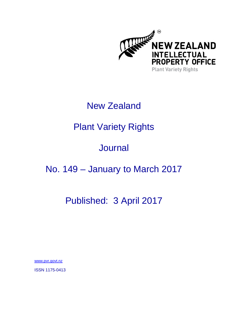

### New Zealand

# Plant Variety Rights

## **Journal**

### No. 149 – January to March 2017

### Published: 3 April 2017

www.pvr.govt.nz

ISSN 1175-0413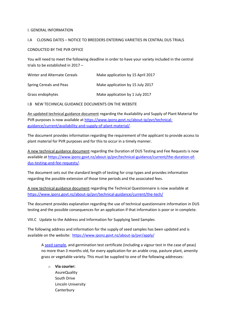#### I. GENERAL INFORMATION

#### I.A CLOSING DATES – NOTICE TO BREEDERS ENTERING VARIETIES IN CENTRAL DUS TRIALS

CONDUCTED BY THE PVR OFFICE

You will need to meet the following deadline in order to have your variety included in the central trials to be established in 2017 –

| Winter and Alternate Cereals | Make application by 15 April 2017 |
|------------------------------|-----------------------------------|
| Spring Cereals and Peas      | Make application by 15 July 2017  |
| Grass endophytes             | Make application by 1 July 2017   |

I.B NEW TECHNICAL GUIDANCE DOCUMENTS ON THE WEBSITE

An updated technical guidance document regarding the Availability and Supply of Plant Material for PVR purposes is now available a[t https://www.iponz.govt.nz/about-ip/pvr/technical](https://www.iponz.govt.nz/about-ip/pvr/technical-guidance/current/availability-and-supply-of-plant-material/)[guidance/current/availability-and-supply-of-plant-material/.](https://www.iponz.govt.nz/about-ip/pvr/technical-guidance/current/availability-and-supply-of-plant-material/)

The document provides information regarding the requirement of the applicant to provide access to plant material for PVR purposes and for this to occur in a timely manner.

A new technical guidance document regarding the Duration of DUS Testing and Fee Requests is now available a[t https://www.iponz.govt.nz/about-ip/pvr/technical-guidance/current/the-duration-of](https://www.iponz.govt.nz/about-ip/pvr/technical-guidance/current/the-duration-of-dus-testing-and-fee-requests/)[dus-testing-and-fee-requests/.](https://www.iponz.govt.nz/about-ip/pvr/technical-guidance/current/the-duration-of-dus-testing-and-fee-requests/)

The document sets out the standard length of testing for crop types and provides information regarding the possible extension of those time periods and the associated fees.

A new technical guidance document regarding the Technical Questionnaire is now available at <https://www.iponz.govt.nz/about-ip/pvr/technical-guidance/current/the-tech/>

The document provides explanation regarding the use of technical questionnaire information in DUS testing and the possible consequences for an application if that information is poor or in complete.

VIII.C Update to the Address and Information for Supplying Seed Samples

The following address and information for the supply of seed samples has been updated and is available on the website:<https://www.iponz.govt.nz/about-ip/pvr/apply/>

A [seed sample,](https://www.iponz.govt.nz/about-ip/pvr/apply/#seed-samples) and germination test certificate (including a vigour test in the case of peas) no more than 3 months old, for every application for an arable crop, pasture plant, amenity grass or vegetable variety. This must be supplied to one of the following addresses:

o **Via courier:** AsureQuality South Drive Lincoln University **Canterbury**